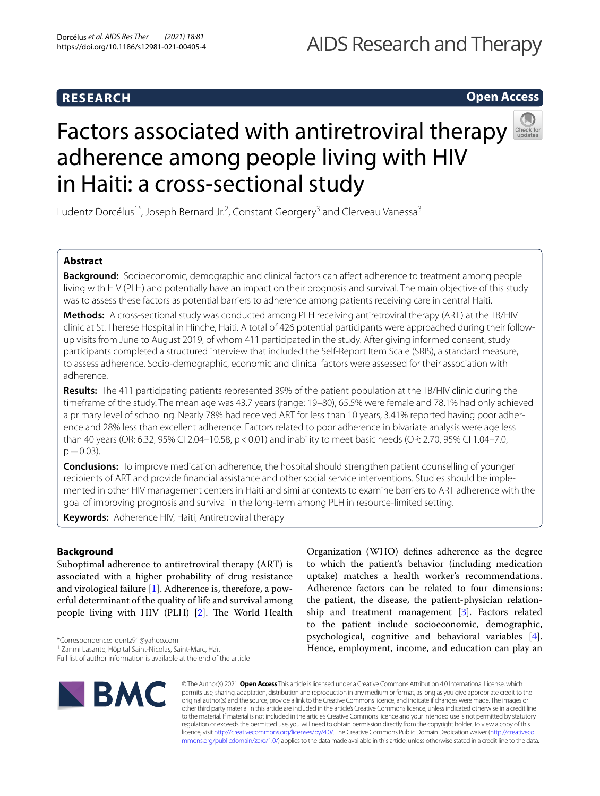# **RESEARCH**

# AIDS Research and Therapy

# **Open Access**



# Factors associated with antiretroviral therapy adherence among people living with HIV in Haiti: a cross-sectional study

Ludentz Dorcélus<sup>1\*</sup>, Joseph Bernard Jr.<sup>2</sup>, Constant Georgery<sup>3</sup> and Clerveau Vanessa<sup>3</sup>

# **Abstract**

**Background:** Socioeconomic, demographic and clinical factors can afect adherence to treatment among people living with HIV (PLH) and potentially have an impact on their prognosis and survival. The main objective of this study was to assess these factors as potential barriers to adherence among patients receiving care in central Haiti.

**Methods:** A cross-sectional study was conducted among PLH receiving antiretroviral therapy (ART) at the TB/HIV clinic at St. Therese Hospital in Hinche, Haiti. A total of 426 potential participants were approached during their followup visits from June to August 2019, of whom 411 participated in the study. After giving informed consent, study participants completed a structured interview that included the Self-Report Item Scale (SRIS), a standard measure, to assess adherence. Socio-demographic, economic and clinical factors were assessed for their association with adherence.

**Results:** The 411 participating patients represented 39% of the patient population at the TB/HIV clinic during the timeframe of the study. The mean age was 43.7 years (range: 19–80), 65.5% were female and 78.1% had only achieved a primary level of schooling. Nearly 78% had received ART for less than 10 years, 3.41% reported having poor adherence and 28% less than excellent adherence. Factors related to poor adherence in bivariate analysis were age less than 40 years (OR: 6.32, 95% CI 2.04–10.58, p<0.01) and inability to meet basic needs (OR: 2.70, 95% CI 1.04–7.0,  $p = 0.03$ ).

**Conclusions:** To improve medication adherence, the hospital should strengthen patient counselling of younger recipients of ART and provide fnancial assistance and other social service interventions. Studies should be implemented in other HIV management centers in Haiti and similar contexts to examine barriers to ART adherence with the goal of improving prognosis and survival in the long-term among PLH in resource-limited setting.

**Keywords:** Adherence HIV, Haiti, Antiretroviral therapy

# **Background**

Suboptimal adherence to antiretroviral therapy (ART) is associated with a higher probability of drug resistance and virological failure [[1\]](#page-7-0). Adherence is, therefore, a powerful determinant of the quality of life and survival among people living with HIV (PLH)  $[2]$  $[2]$ . The World Health

\*Correspondence: dentz91@yahoo.com

Full list of author information is available at the end of the article



Organization (WHO) defnes adherence as the degree to which the patient's behavior (including medication uptake) matches a health worker's recommendations. Adherence factors can be related to four dimensions: the patient, the disease, the patient-physician relationship and treatment management [\[3\]](#page-7-2). Factors related to the patient include socioeconomic, demographic, psychological, cognitive and behavioral variables [\[4](#page-7-3)]. Hence, employment, income, and education can play an

© The Author(s) 2021. **Open Access** This article is licensed under a Creative Commons Attribution 4.0 International License, which permits use, sharing, adaptation, distribution and reproduction in any medium or format, as long as you give appropriate credit to the original author(s) and the source, provide a link to the Creative Commons licence, and indicate if changes were made. The images or other third party material in this article are included in the article's Creative Commons licence, unless indicated otherwise in a credit line to the material. If material is not included in the article's Creative Commons licence and your intended use is not permitted by statutory regulation or exceeds the permitted use, you will need to obtain permission directly from the copyright holder. To view a copy of this licence, visit [http://creativecommons.org/licenses/by/4.0/.](http://creativecommons.org/licenses/by/4.0/) The Creative Commons Public Domain Dedication waiver ([http://creativeco](http://creativecommons.org/publicdomain/zero/1.0/) [mmons.org/publicdomain/zero/1.0/](http://creativecommons.org/publicdomain/zero/1.0/)) applies to the data made available in this article, unless otherwise stated in a credit line to the data.

<sup>1</sup> Zanmi Lasante, Hôpital Saint-Nicolas, Saint-Marc, Haïti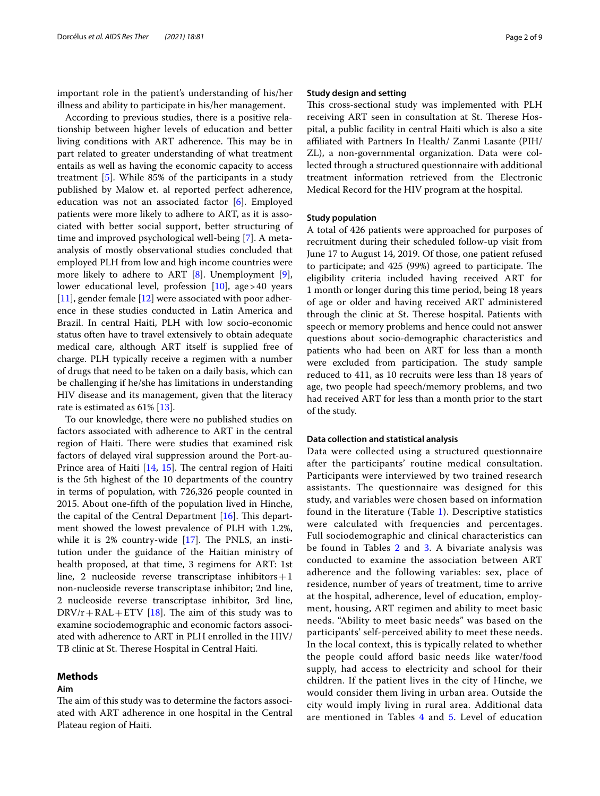important role in the patient's understanding of his/her illness and ability to participate in his/her management.

According to previous studies, there is a positive relationship between higher levels of education and better living conditions with ART adherence. This may be in part related to greater understanding of what treatment entails as well as having the economic capacity to access treatment [\[5\]](#page-7-4). While 85% of the participants in a study published by Malow et. al reported perfect adherence, education was not an associated factor [\[6](#page-7-5)]. Employed patients were more likely to adhere to ART, as it is associated with better social support, better structuring of time and improved psychological well-being [[7\]](#page-7-6). A metaanalysis of mostly observational studies concluded that employed PLH from low and high income countries were more likely to adhere to ART [[8\]](#page-7-7). Unemployment [\[9](#page-7-8)], lower educational level, profession  $[10]$  $[10]$ , age > 40 years  $[11]$  $[11]$ , gender female  $[12]$  $[12]$  were associated with poor adherence in these studies conducted in Latin America and Brazil. In central Haiti, PLH with low socio-economic status often have to travel extensively to obtain adequate medical care, although ART itself is supplied free of charge. PLH typically receive a regimen with a number of drugs that need to be taken on a daily basis, which can be challenging if he/she has limitations in understanding HIV disease and its management, given that the literacy rate is estimated as 61% [[13](#page-7-12)].

To our knowledge, there were no published studies on factors associated with adherence to ART in the central region of Haiti. There were studies that examined risk factors of delayed viral suppression around the Port-au-Prince area of Haiti  $[14, 15]$  $[14, 15]$  $[14, 15]$  $[14, 15]$ . The central region of Haiti is the 5th highest of the 10 departments of the country in terms of population, with 726,326 people counted in 2015. About one-ffth of the population lived in Hinche, the capital of the Central Department  $[16]$  $[16]$ . This department showed the lowest prevalence of PLH with 1.2%, while it is  $2\%$  country-wide  $[17]$ . The PNLS, an institution under the guidance of the Haitian ministry of health proposed, at that time, 3 regimens for ART: 1st line, 2 nucleoside reverse transcriptase inhibitors + 1 non-nucleoside reverse transcriptase inhibitor; 2nd line, 2 nucleoside reverse transcriptase inhibitor, 3rd line,  $DRV/r + RAL + ETV$  [\[18](#page-7-17)]. The aim of this study was to examine sociodemographic and economic factors associated with adherence to ART in PLH enrolled in the HIV/ TB clinic at St. Therese Hospital in Central Haiti.

# **Methods**

# **Aim**

The aim of this study was to determine the factors associated with ART adherence in one hospital in the Central Plateau region of Haiti.

# **Study design and setting**

This cross-sectional study was implemented with PLH receiving ART seen in consultation at St. Therese Hospital, a public facility in central Haiti which is also a site affiliated with Partners In Health/ Zanmi Lasante (PIH/ ZL), a non-governmental organization. Data were collected through a structured questionnaire with additional treatment information retrieved from the Electronic Medical Record for the HIV program at the hospital.

# **Study population**

A total of 426 patients were approached for purposes of recruitment during their scheduled follow-up visit from June 17 to August 14, 2019. Of those, one patient refused to participate; and 425 (99%) agreed to participate. The eligibility criteria included having received ART for 1 month or longer during this time period, being 18 years of age or older and having received ART administered through the clinic at St. Therese hospital. Patients with speech or memory problems and hence could not answer questions about socio-demographic characteristics and patients who had been on ART for less than a month were excluded from participation. The study sample reduced to 411, as 10 recruits were less than 18 years of age, two people had speech/memory problems, and two had received ART for less than a month prior to the start of the study.

# **Data collection and statistical analysis**

Data were collected using a structured questionnaire after the participants' routine medical consultation. Participants were interviewed by two trained research assistants. The questionnaire was designed for this study, and variables were chosen based on information found in the literature (Table [1\)](#page-2-0). Descriptive statistics were calculated with frequencies and percentages. Full sociodemographic and clinical characteristics can be found in Tables [2](#page-3-0) and [3](#page-3-1). A bivariate analysis was conducted to examine the association between ART adherence and the following variables: sex, place of residence, number of years of treatment, time to arrive at the hospital, adherence, level of education, employment, housing, ART regimen and ability to meet basic needs. "Ability to meet basic needs" was based on the participants' self-perceived ability to meet these needs. In the local context, this is typically related to whether the people could afford basic needs like water/food supply, had access to electricity and school for their children. If the patient lives in the city of Hinche, we would consider them living in urban area. Outside the city would imply living in rural area. Additional data are mentioned in Tables [4](#page-3-2) and [5.](#page-3-3) Level of education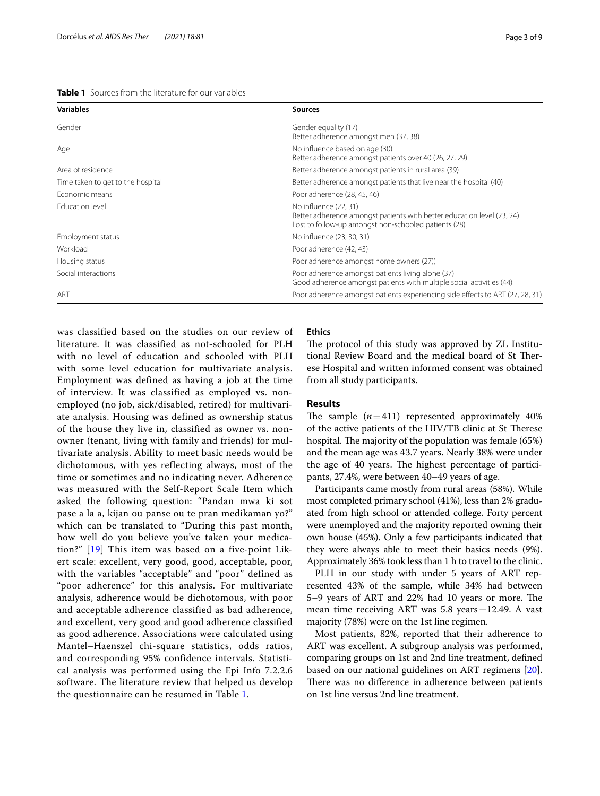<span id="page-2-0"></span>

| <b>Table 1</b> Sources from the literature for our variables |
|--------------------------------------------------------------|
|--------------------------------------------------------------|

| <b>Variables</b>                  | <b>Sources</b>                                                                                                                                          |  |
|-----------------------------------|---------------------------------------------------------------------------------------------------------------------------------------------------------|--|
| Gender                            | Gender equality (17)<br>Better adherence amongst men (37, 38)                                                                                           |  |
| Age                               | No influence based on age (30)<br>Better adherence amongst patients over 40 (26, 27, 29)                                                                |  |
| Area of residence                 | Better adherence amongst patients in rural area (39)                                                                                                    |  |
| Time taken to get to the hospital | Better adherence amongst patients that live near the hospital (40)                                                                                      |  |
| Economic means                    | Poor adherence (28, 45, 46)                                                                                                                             |  |
| Education level                   | No influence (22, 31)<br>Better adherence amongst patients with better education level (23, 24)<br>Lost to follow-up amongst non-schooled patients (28) |  |
| Employment status                 | No influence (23, 30, 31)                                                                                                                               |  |
| Workload                          | Poor adherence (42, 43)                                                                                                                                 |  |
| Housing status                    | Poor adherence amongst home owners (27))                                                                                                                |  |
| Social interactions               | Poor adherence amongst patients living alone (37)<br>Good adherence amongst patients with multiple social activities (44)                               |  |
| ART                               | Poor adherence amongst patients experiencing side effects to ART (27, 28, 31)                                                                           |  |

was classified based on the studies on our review of literature. It was classified as not-schooled for PLH with no level of education and schooled with PLH with some level education for multivariate analysis. Employment was defined as having a job at the time of interview. It was classified as employed vs. nonemployed (no job, sick/disabled, retired) for multivariate analysis. Housing was defined as ownership status of the house they live in, classified as owner vs. nonowner (tenant, living with family and friends) for multivariate analysis. Ability to meet basic needs would be dichotomous, with yes reflecting always, most of the time or sometimes and no indicating never. Adherence was measured with the Self-Report Scale Item which asked the following question: "Pandan mwa ki sot pase a la a, kijan ou panse ou te pran medikaman yo?" which can be translated to "During this past month, how well do you believe you've taken your medication?" [\[19\]](#page-7-18) This item was based on a five-point Likert scale: excellent, very good, good, acceptable, poor, with the variables "acceptable" and "poor" defined as "poor adherence" for this analysis. For multivariate analysis, adherence would be dichotomous, with poor and acceptable adherence classified as bad adherence, and excellent, very good and good adherence classified as good adherence. Associations were calculated using Mantel–Haenszel chi-square statistics, odds ratios, and corresponding 95% confidence intervals. Statistical analysis was performed using the Epi Info 7.2.2.6 software. The literature review that helped us develop the questionnaire can be resumed in Table [1](#page-2-0).

# **Ethics**

The protocol of this study was approved by ZL Institutional Review Board and the medical board of St Therese Hospital and written informed consent was obtained from all study participants.

# **Results**

The sample  $(n=411)$  represented approximately  $40\%$ of the active patients of the HIV/TB clinic at St Therese hospital. The majority of the population was female (65%) and the mean age was 43.7 years. Nearly 38% were under the age of 40 years. The highest percentage of participants, 27.4%, were between 40–49 years of age.

Participants came mostly from rural areas (58%). While most completed primary school (41%), less than 2% graduated from high school or attended college. Forty percent were unemployed and the majority reported owning their own house (45%). Only a few participants indicated that they were always able to meet their basics needs (9%). Approximately 36% took less than 1 h to travel to the clinic.

PLH in our study with under 5 years of ART represented 43% of the sample, while 34% had between 5-9 years of ART and 22% had 10 years or more. The mean time receiving ART was 5.8 years $\pm$ 12.49. A vast majority (78%) were on the 1st line regimen.

Most patients, 82%, reported that their adherence to ART was excellent. A subgroup analysis was performed, comparing groups on 1st and 2nd line treatment, defned based on our national guidelines on ART regimens [\[20](#page-7-19)]. There was no difference in adherence between patients on 1st line versus 2nd line treatment.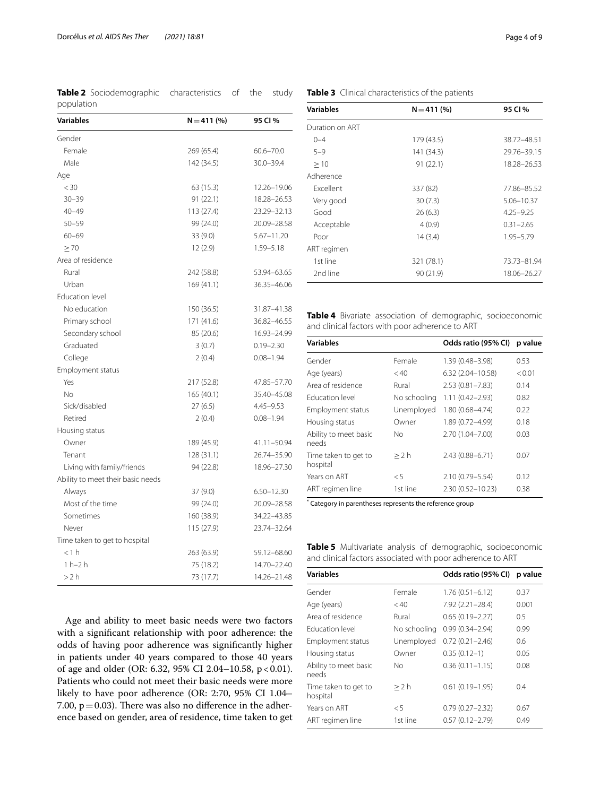<span id="page-3-0"></span>**Table 2** Sociodemographic characteristics of the study population

| <b>Variables</b>                  | $N = 411(%)$ | 95 CI %        |
|-----------------------------------|--------------|----------------|
| Gender                            |              |                |
| Female                            | 269 (65.4)   | $60.6 - 70.0$  |
| Male                              | 142 (34.5)   | $30.0 - 39.4$  |
| Age                               |              |                |
| $<$ 30                            | 63 (15.3)    | 12.26-19.06    |
| $30 - 39$                         | 91 (22.1)    | 18.28-26.53    |
| $40 - 49$                         | 113 (27.4)   | 23.29-32.13    |
| $50 - 59$                         | 99 (24.0)    | 20.09-28.58    |
| $60 - 69$                         | 33 (9.0)     | $5.67 - 11.20$ |
| $\geq 70$                         | 12(2.9)      | 1.59-5.18      |
| Area of residence                 |              |                |
| Rural                             | 242 (58.8)   | 53.94-63.65    |
| Urban                             | 169 (41.1)   | 36.35-46.06    |
| <b>Education level</b>            |              |                |
| No education                      | 150 (36.5)   | 31.87-41.38    |
| Primary school                    | 171 (41.6)   | 36.82-46.55    |
| Secondary school                  | 85 (20.6)    | 16.93-24.99    |
| Graduated                         | 3(0.7)       | $0.19 - 2.30$  |
| College                           | 2(0.4)       | $0.08 - 1.94$  |
| Employment status                 |              |                |
| Yes                               | 217 (52.8)   | 47.85-57.70    |
| No                                | 165(40.1)    | 35.40-45.08    |
| Sick/disabled                     | 27(6.5)      | $4.45 - 9.53$  |
| Retired                           | 2(0.4)       | $0.08 - 1.94$  |
| Housing status                    |              |                |
| Owner                             | 189 (45.9)   | 41.11-50.94    |
| Tenant                            | 128 (31.1)   | 26.74-35.90    |
| Living with family/friends        | 94 (22.8)    | 18.96-27.30    |
| Ability to meet their basic needs |              |                |
| Always                            | 37 (9.0)     | $6.50 - 12.30$ |
| Most of the time                  | 99 (24.0)    | 20.09-28.58    |
| Sometimes                         | 160 (38.9)   | 34.22-43.85    |
| Never                             | 115 (27.9)   | 23.74-32.64    |
| Time taken to get to hospital     |              |                |
| < 1 h                             | 263 (63.9)   | 59.12-68.60    |
| $1 h-2 h$                         | 75 (18.2)    | 14.70-22.40    |
| >2 h                              | 73 (17.7)    | 14.26-21.48    |

# **Table 3** Clinical characteristics of the patients

<span id="page-3-1"></span>

| <b>Variables</b> | $N = 411(%)$ | 95 CI %       |
|------------------|--------------|---------------|
| Duration on ART  |              |               |
| $() - 4$         | 179 (43.5)   | 38.72-48.51   |
| $5 - 9$          | 141 (34.3)   | 29.76-39.15   |
| >10              | 91(22.1)     | 18.28-26.53   |
| Adherence        |              |               |
| <b>Fxcellent</b> | 337 (82)     | 77.86-85.52   |
| Very good        | 30(7.3)      | 5.06-10.37    |
| Good             | 26(6.3)      | $4.25 - 9.25$ |
| Acceptable       | 4(0.9)       | $0.31 - 2.65$ |
| Poor             | 14 (3.4)     | $1.95 - 5.79$ |
| ART regimen      |              |               |
| 1st line         | 321 (78.1)   | 73.73-81.94   |
| 2nd line         | 90 (21.9)    | 18.06-26.27   |

<span id="page-3-2"></span>**Table 4** Bivariate association of demographic, socioeconomic and clinical factors with poor adherence to ART

| <b>Variables</b>                 |              | Odds ratio (95% CI)  | p value |
|----------------------------------|--------------|----------------------|---------|
| Gender                           | Female       | 1.39 (0.48-3.98)     | 0.53    |
| Age (years)                      | < 40         | $6.32(2.04 - 10.58)$ | < 0.01  |
| Area of residence                | Rural        | $2.53(0.81 - 7.83)$  | 0.14    |
| <b>Fducation level</b>           | No schooling | $1.11(0.42 - 2.93)$  | 0.82    |
| Employment status                | Unemployed   | $1.80(0.68 - 4.74)$  | 0.22    |
| Housing status                   | Owner        | 1.89 (0.72-4.99)     | 0.18    |
| Ability to meet basic<br>needs   | No           | 2.70 (1.04-7.00)     | 0.03    |
| Time taken to get to<br>hospital | >2 h         | 2.43 (0.88-6.71)     | 0.07    |
| Years on ART                     | $\leq 5$     | 2.10 (0.79-5.54)     | 0.12    |
| ART regimen line                 | 1st line     | $2.30(0.52 - 10.23)$ | 0.38    |
|                                  |              |                      |         |

\* Category in parentheses represents the reference group

<span id="page-3-3"></span>**Table 5** Multivariate analysis of demographic, socioeconomic and clinical factors associated with poor adherence to ART

| <b>Variables</b>                 |              | Odds ratio (95% CI) | p value |
|----------------------------------|--------------|---------------------|---------|
| Gender                           | Female       | $1.76(0.51 - 6.12)$ | 0.37    |
| Age (years)                      | < 40         | 7.92 (2.21-28.4)    | 0.001   |
| Area of residence                | Rural        | $0.65(0.19 - 2.27)$ | 0.5     |
| <b>Education level</b>           | No schooling | $0.99(0.34 - 2.94)$ | 0.99    |
| Employment status                | Unemployed   | $0.72(0.21 - 2.46)$ | 0.6     |
| Housing status                   | Owner        | $0.35(0.12-1)$      | 0.05    |
| Ability to meet basic<br>needs   | Nο           | $0.36(0.11 - 1.15)$ | 0.08    |
| Time taken to get to<br>hospital | >2 h         | $0.61(0.19 - 1.95)$ | 0.4     |
| Years on ART                     | $\leq 5$     | $0.79(0.27 - 2.32)$ | 0.67    |
| ART regimen line                 | 1st line     | $0.57(0.12 - 2.79)$ | 0.49    |

Age and ability to meet basic needs were two factors with a signifcant relationship with poor adherence: the odds of having poor adherence was signifcantly higher in patients under 40 years compared to those 40 years of age and older (OR: 6.32, 95% CI 2.04-10.58, p < 0.01). Patients who could not meet their basic needs were more likely to have poor adherence (OR: 2:70, 95% CI 1.04– 7.00,  $p = 0.03$ ). There was also no difference in the adherence based on gender, area of residence, time taken to get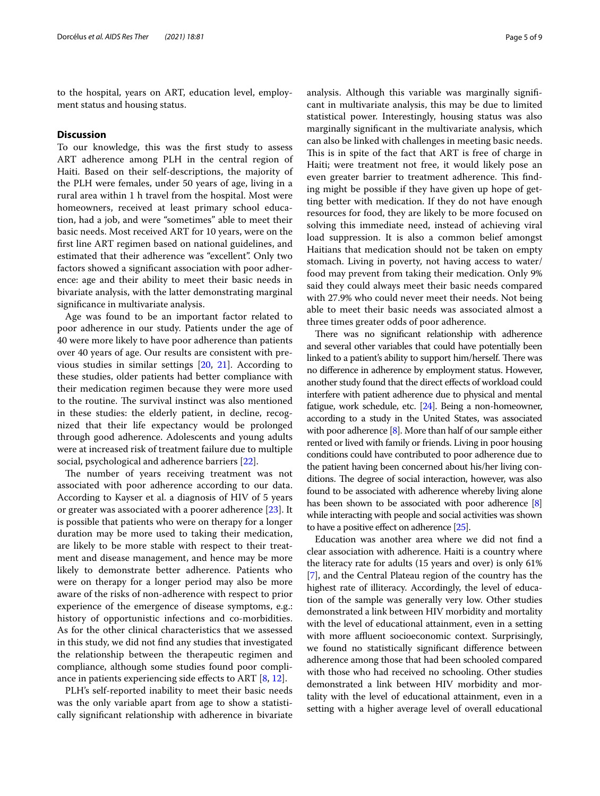to the hospital, years on ART, education level, employment status and housing status.

# **Discussion**

To our knowledge, this was the frst study to assess ART adherence among PLH in the central region of Haiti. Based on their self-descriptions, the majority of the PLH were females, under 50 years of age, living in a rural area within 1 h travel from the hospital. Most were homeowners, received at least primary school education, had a job, and were "sometimes" able to meet their basic needs. Most received ART for 10 years, were on the frst line ART regimen based on national guidelines, and estimated that their adherence was "excellent". Only two factors showed a signifcant association with poor adherence: age and their ability to meet their basic needs in bivariate analysis, with the latter demonstrating marginal signifcance in multivariate analysis.

Age was found to be an important factor related to poor adherence in our study. Patients under the age of 40 were more likely to have poor adherence than patients over 40 years of age. Our results are consistent with previous studies in similar settings [\[20](#page-7-19), [21\]](#page-7-20). According to these studies, older patients had better compliance with their medication regimen because they were more used to the routine. The survival instinct was also mentioned in these studies: the elderly patient, in decline, recognized that their life expectancy would be prolonged through good adherence. Adolescents and young adults were at increased risk of treatment failure due to multiple social, psychological and adherence barriers [\[22](#page-7-21)].

The number of years receiving treatment was not associated with poor adherence according to our data. According to Kayser et al. a diagnosis of HIV of 5 years or greater was associated with a poorer adherence [[23](#page-7-22)]. It is possible that patients who were on therapy for a longer duration may be more used to taking their medication, are likely to be more stable with respect to their treatment and disease management, and hence may be more likely to demonstrate better adherence. Patients who were on therapy for a longer period may also be more aware of the risks of non-adherence with respect to prior experience of the emergence of disease symptoms, e.g.: history of opportunistic infections and co-morbidities. As for the other clinical characteristics that we assessed in this study, we did not fnd any studies that investigated the relationship between the therapeutic regimen and compliance, although some studies found poor compliance in patients experiencing side efects to ART [[8](#page-7-7), [12\]](#page-7-11).

PLH's self-reported inability to meet their basic needs was the only variable apart from age to show a statistically signifcant relationship with adherence in bivariate analysis. Although this variable was marginally signifcant in multivariate analysis, this may be due to limited statistical power. Interestingly, housing status was also marginally signifcant in the multivariate analysis, which can also be linked with challenges in meeting basic needs. This is in spite of the fact that ART is free of charge in Haiti; were treatment not free, it would likely pose an even greater barrier to treatment adherence. This finding might be possible if they have given up hope of getting better with medication. If they do not have enough resources for food, they are likely to be more focused on solving this immediate need, instead of achieving viral load suppression. It is also a common belief amongst Haitians that medication should not be taken on empty stomach. Living in poverty, not having access to water/ food may prevent from taking their medication. Only 9% said they could always meet their basic needs compared with 27.9% who could never meet their needs. Not being able to meet their basic needs was associated almost a three times greater odds of poor adherence.

There was no significant relationship with adherence and several other variables that could have potentially been linked to a patient's ability to support him/herself. There was no diference in adherence by employment status. However, another study found that the direct efects of workload could interfere with patient adherence due to physical and mental fatigue, work schedule, etc. [[24](#page-7-23)]. Being a non-homeowner, according to a study in the United States, was associated with poor adherence [[8](#page-7-7)]. More than half of our sample either rented or lived with family or friends. Living in poor housing conditions could have contributed to poor adherence due to the patient having been concerned about his/her living conditions. The degree of social interaction, however, was also found to be associated with adherence whereby living alone has been shown to be associated with poor adherence [[8](#page-7-7)] while interacting with people and social activities was shown to have a positive efect on adherence [\[25](#page-7-24)].

Education was another area where we did not fnd a clear association with adherence. Haiti is a country where the literacy rate for adults (15 years and over) is only 61% [[7\]](#page-7-6), and the Central Plateau region of the country has the highest rate of illiteracy. Accordingly, the level of education of the sample was generally very low. Other studies demonstrated a link between HIV morbidity and mortality with the level of educational attainment, even in a setting with more affluent socioeconomic context. Surprisingly, we found no statistically signifcant diference between adherence among those that had been schooled compared with those who had received no schooling. Other studies demonstrated a link between HIV morbidity and mortality with the level of educational attainment, even in a setting with a higher average level of overall educational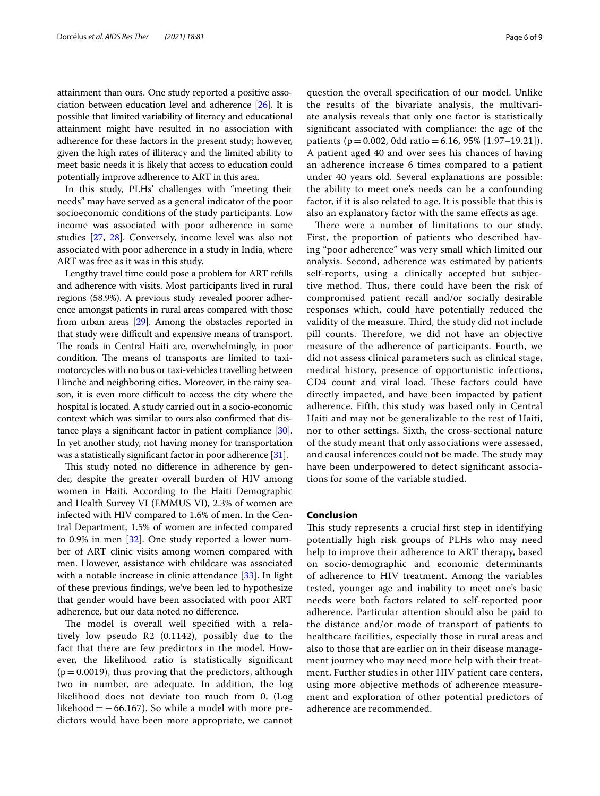attainment than ours. One study reported a positive association between education level and adherence [\[26\]](#page-7-25). It is possible that limited variability of literacy and educational attainment might have resulted in no association with adherence for these factors in the present study; however, given the high rates of illiteracy and the limited ability to meet basic needs it is likely that access to education could potentially improve adherence to ART in this area.

In this study, PLHs' challenges with "meeting their needs" may have served as a general indicator of the poor socioeconomic conditions of the study participants. Low income was associated with poor adherence in some studies [[27](#page-7-26), [28\]](#page-8-0). Conversely, income level was also not associated with poor adherence in a study in India, where ART was free as it was in this study.

Lengthy travel time could pose a problem for ART reflls and adherence with visits. Most participants lived in rural regions (58.9%). A previous study revealed poorer adherence amongst patients in rural areas compared with those from urban areas [\[29\]](#page-8-1). Among the obstacles reported in that study were difficult and expensive means of transport. The roads in Central Haiti are, overwhelmingly, in poor condition. The means of transports are limited to taximotorcycles with no bus or taxi-vehicles travelling between Hinche and neighboring cities. Moreover, in the rainy season, it is even more difficult to access the city where the hospital is located. A study carried out in a socio-economic context which was similar to ours also confrmed that distance plays a signifcant factor in patient compliance [[30](#page-8-2)]. In yet another study, not having money for transportation was a statistically signifcant factor in poor adherence [[31](#page-8-3)].

This study noted no difference in adherence by gender, despite the greater overall burden of HIV among women in Haiti. According to the Haiti Demographic and Health Survey VI (EMMUS VI), 2.3% of women are infected with HIV compared to 1.6% of men. In the Central Department, 1.5% of women are infected compared to 0.9% in men [\[32\]](#page-8-4). One study reported a lower number of ART clinic visits among women compared with men. However, assistance with childcare was associated with a notable increase in clinic attendance [\[33](#page-8-5)]. In light of these previous fndings, we've been led to hypothesize that gender would have been associated with poor ART adherence, but our data noted no diference.

The model is overall well specified with a relatively low pseudo R2 (0.1142), possibly due to the fact that there are few predictors in the model. However, the likelihood ratio is statistically signifcant  $(p=0.0019)$ , thus proving that the predictors, although two in number, are adequate. In addition, the log likelihood does not deviate too much from 0, (Log likehood =  $-66.167$ ). So while a model with more predictors would have been more appropriate, we cannot

question the overall specifcation of our model. Unlike the results of the bivariate analysis, the multivariate analysis reveals that only one factor is statistically signifcant associated with compliance: the age of the patients (p=0.002, 0dd ratio=6.16, 95% [1.97–19.21]). A patient aged 40 and over sees his chances of having an adherence increase 6 times compared to a patient under 40 years old. Several explanations are possible: the ability to meet one's needs can be a confounding factor, if it is also related to age. It is possible that this is also an explanatory factor with the same efects as age.

There were a number of limitations to our study. First, the proportion of patients who described having "poor adherence" was very small which limited our analysis. Second, adherence was estimated by patients self-reports, using a clinically accepted but subjective method. Thus, there could have been the risk of compromised patient recall and/or socially desirable responses which, could have potentially reduced the validity of the measure. Third, the study did not include pill counts. Therefore, we did not have an objective measure of the adherence of participants. Fourth, we did not assess clinical parameters such as clinical stage, medical history, presence of opportunistic infections, CD4 count and viral load. These factors could have directly impacted, and have been impacted by patient adherence. Fifth, this study was based only in Central Haiti and may not be generalizable to the rest of Haiti, nor to other settings. Sixth, the cross-sectional nature of the study meant that only associations were assessed, and causal inferences could not be made. The study may have been underpowered to detect signifcant associations for some of the variable studied.

# **Conclusion**

This study represents a crucial first step in identifying potentially high risk groups of PLHs who may need help to improve their adherence to ART therapy, based on socio-demographic and economic determinants of adherence to HIV treatment. Among the variables tested, younger age and inability to meet one's basic needs were both factors related to self-reported poor adherence. Particular attention should also be paid to the distance and/or mode of transport of patients to healthcare facilities, especially those in rural areas and also to those that are earlier on in their disease management journey who may need more help with their treatment. Further studies in other HIV patient care centers, using more objective methods of adherence measurement and exploration of other potential predictors of adherence are recommended.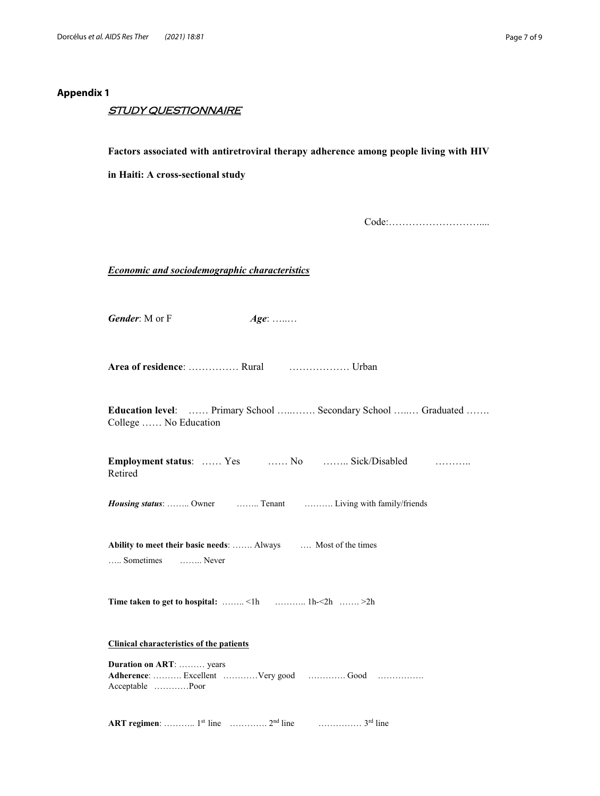# **Appendix 1**

# STUDY QUESTIONNAIRE

# **Factors associated with antiretroviral therapy adherence among people living with HIV**

**in Haiti: A cross-sectional study**

Code:………………………....

*Economic and sociodemographic characteristics*

*Gender*: M or F *Age*: ........

**Area of residence**: …………… Rural ……………… Urban

**Education level**: …… Primary School …..……. Secondary School …..… Graduated ……. College …… No Education

| <b>Employment status:</b> Yes |  | No  Sick/Disabled | . |
|-------------------------------|--|-------------------|---|
| Retired                       |  |                   |   |

*Housing status*: …….. Owner …….. Tenant ………. Living with family/friends

**Ability to meet their basic needs**: ……. Always …. Most of the times ….. Sometimes …….. Never

**Time taken to get to hospital:** ……… <1h ………… 1h-<2h ……. >2h

# **Clinical characteristics of the patients**

**Duration on ART**: ……… years **Adherence**: ………. Excellent …………Very good …………. Good ……………. Acceptable …………Poor

**ART regimen**: ………… 1<sup>st</sup> line …………… 2<sup>nd</sup> line ………………… 3<sup>rd</sup> line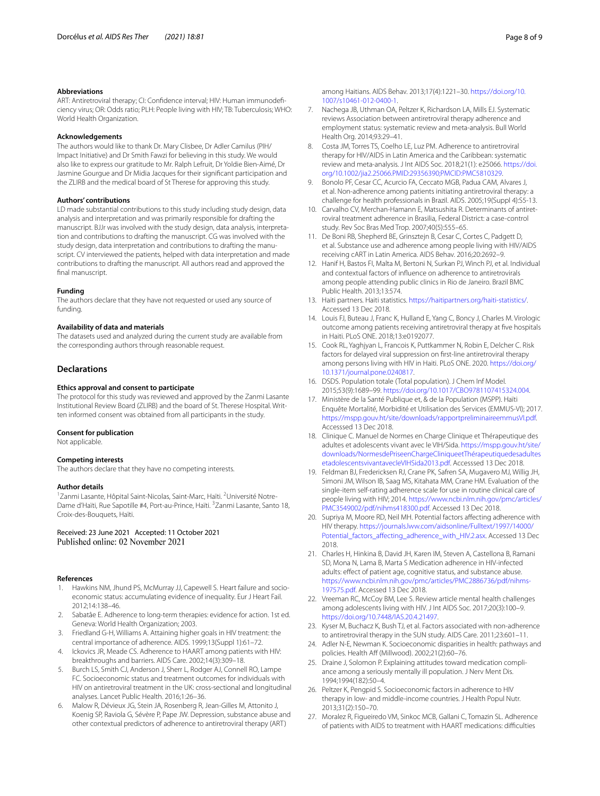#### **Abbreviations**

ART: Antiretroviral therapy; CI: Confdence interval; HIV: Human immunodefciency virus; OR: Odds ratio; PLH: People living with HIV; TB: Tuberculosis; WHO: World Health Organization.

### **Acknowledgements**

The authors would like to thank Dr. Mary Clisbee, Dr Adler Camilus (PIH/ Impact Initiative) and Dr Smith Fawzi for believing in this study. We would also like to express our gratitude to Mr. Ralph Lefruit, Dr Yoldie Bien-Aimé, Dr Jasmine Gourgue and Dr Midia Jacques for their signifcant participation and the ZLIRB and the medical board of St Therese for approving this study.

#### **Authors' contributions**

LD made substantial contributions to this study including study design, data analysis and interpretation and was primarily responsible for drafting the manuscript. BJJr was involved with the study design, data analysis, interpretation and contributions to drafting the manuscript. CG was involved with the study design, data interpretation and contributions to drafting the manuscript. CV interviewed the patients, helped with data interpretation and made contributions to drafting the manuscript. All authors read and approved the fnal manuscript.

#### **Funding**

The authors declare that they have not requested or used any source of funding.

### **Availability of data and materials**

The datasets used and analyzed during the current study are available from the corresponding authors through reasonable request.

# **Declarations**

### **Ethics approval and consent to participate**

The protocol for this study was reviewed and approved by the Zanmi Lasante Institutional Review Board (ZLIRB) and the board of St. Therese Hospital. Written informed consent was obtained from all participants in the study.

#### **Consent for publication**

Not applicable.

# **Competing interests**

The authors declare that they have no competing interests.

#### **Author details**

<sup>1</sup> Zanmi Lasante, Hôpital Saint-Nicolas, Saint-Marc, Haïti. <sup>2</sup>Université Notre-Dame d'Haïti, Rue Sapotille #4, Port-au-Prince, Haïti. <sup>3</sup> Zanmi Lasante, Santo 18, Croix-des-Bouquets, Haïti.

Received: 23 June 2021 Accepted: 11 October 2021

#### **References**

- <span id="page-7-0"></span>1. Hawkins NM, Jhund PS, McMurray JJ, Capewell S. Heart failure and socioeconomic status: accumulating evidence of inequality. Eur J Heart Fail. 2012;14:138–46.
- <span id="page-7-1"></span>2. Sabatâe E. Adherence to long-term therapies: evidence for action. 1st ed. Geneva: World Health Organization; 2003.
- <span id="page-7-2"></span>3. Friedland G-H, Williams A. Attaining higher goals in HIV treatment: the central importance of adherence. AIDS. 1999;13(Suppl 1):61–72.
- <span id="page-7-3"></span>4. Ickovics JR, Meade CS. Adherence to HAART among patients with HIV: breakthroughs and barriers. AIDS Care. 2002;14(3):309–18.
- <span id="page-7-4"></span>5. Burch LS, Smith CJ, Anderson J, Sherr L, Rodger AJ, Connell RO, Lampe FC. Socioeconomic status and treatment outcomes for individuals with HIV on antiretroviral treatment in the UK: cross-sectional and longitudinal analyses. Lancet Public Health. 2016;1:26–36.
- <span id="page-7-5"></span>6. Malow R, Dévieux JG, Stein JA, Rosenberg R, Jean-Gilles M, Attonito J, Koenig SP, Raviola G, Sévère P, Pape JW. Depression, substance abuse and other contextual predictors of adherence to antiretroviral therapy (ART)

among Haitians. AIDS Behav. 2013;17(4):1221–30. [https://doi.org/10.](https://doi.org/10.1007/s10461-012-0400-1) [1007/s10461-012-0400-1](https://doi.org/10.1007/s10461-012-0400-1).

- <span id="page-7-6"></span>7. Nachega JB, Uthman OA, Peltzer K, Richardson LA, Mills EJ. Systematic reviews Association between antiretroviral therapy adherence and employment status: systematic review and meta-analysis. Bull World Health Org. 2014;93:29–41.
- <span id="page-7-7"></span>8. Costa JM, Torres TS, Coelho LE, Luz PM. Adherence to antiretroviral therapy for HIV/AIDS in Latin America and the Caribbean: systematic review and meta-analysis. J Int AIDS Soc. 2018;21(1): e25066. [https://doi.](https://doi.org/10.1002/jia2.25066.PMID:29356390;PMCID:PMC5810329) [org/10.1002/jia2.25066.PMID:29356390;PMCID:PMC5810329](https://doi.org/10.1002/jia2.25066.PMID:29356390;PMCID:PMC5810329).
- <span id="page-7-8"></span>9. Bonolo PF, Cesar CC, Acurcio FA, Ceccato MGB, Padua CAM, Alvares J, et al. Non-adherence among patients initiating antiretroviral therapy: a challenge for health professionals in Brazil. AIDS. 2005;19(Suppl 4):S5-13.
- <span id="page-7-9"></span>10. Carvalho CV, Merchan-Hamann E, Matsushita R. Determinants of antiretroviral treatment adherence in Brasilia, Federal District: a case-control study. Rev Soc Bras Med Trop. 2007;40(5):555–65.
- <span id="page-7-10"></span>11. De Boni RB, Shepherd BE, Grinsztejn B, Cesar C, Cortes C, Padgett D, et al. Substance use and adherence among people living with HIV/AIDS receiving cART in Latin America. AIDS Behav. 2016;20:2692–9.
- <span id="page-7-11"></span>12. Hanif H, Bastos FI, Malta M, Bertoni N, Surkan PJ, Winch PJ, et al. Individual and contextual factors of infuence on adherence to antiretrovirals among people attending public clinics in Rio de Janeiro. Brazil BMC Public Health. 2013;13:574.
- <span id="page-7-12"></span>13. Haiti partners. Haiti statistics.<https://haitipartners.org/haiti-statistics/>. Accessed 13 Dec 2018.
- <span id="page-7-13"></span>14. Louis FJ, Buteau J, Franc K, Hulland E, Yang C, Boncy J, Charles M. Virologic outcome among patients receiving antiretroviral therapy at fve hospitals in Haiti. PLoS ONE. 2018;13:e0192077.
- <span id="page-7-14"></span>15. Cook RL, Yaghjyan L, Francois K, Puttkammer N, Robin E, Delcher C. Risk factors for delayed viral suppression on frst-line antiretroviral therapy among persons living with HIV in Haiti. PLoS ONE. 2020. [https://doi.org/](https://doi.org/10.1371/journal.pone.0240817) [10.1371/journal.pone.0240817](https://doi.org/10.1371/journal.pone.0240817).
- <span id="page-7-15"></span>16. DSDS. Population totale (Total population). J Chem Inf Model. 2015;53(9):1689–99. <https://doi.org/10.1017/CBO9781107415324.004>.
- <span id="page-7-16"></span>17. Ministère de la Santé Publique et, & de la Population (MSPP). Haïti Enquête Mortalité, Morbidité et Utilisation des Services (EMMUS-VI); 2017. <https://mspp.gouv.ht/site/downloads/rapportpreliminaireemmusVI.pdf>. Accesssed 13 Dec 2018.
- <span id="page-7-17"></span>18. Clinique C. Manuel de Normes en Charge Clinique et Thérapeutique des adultes et adolescents vivant avec le VIH/Sida. [https://mspp.gouv.ht/site/](https://mspp.gouv.ht/site/downloads/NormesdePriseenChargeCliniqueetThérapeutiquedesadultesetadolescentsvivantavecleVIHSida2013.pdf) [downloads/NormesdePriseenChargeCliniqueetThérapeutiquedesadultes](https://mspp.gouv.ht/site/downloads/NormesdePriseenChargeCliniqueetThérapeutiquedesadultesetadolescentsvivantavecleVIHSida2013.pdf) [etadolescentsvivantavecleVIHSida2013.pdf.](https://mspp.gouv.ht/site/downloads/NormesdePriseenChargeCliniqueetThérapeutiquedesadultesetadolescentsvivantavecleVIHSida2013.pdf) Accesssed 13 Dec 2018.
- <span id="page-7-18"></span>19. Feldman BJ, Fredericksen RJ, Crane PK, Safren SA, Mugavero MJ, Willig JH, Simoni JM, Wilson IB, Saag MS, Kitahata MM, Crane HM. Evaluation of the single-item self-rating adherence scale for use in routine clinical care of people living with HIV; 2014. [https://www.ncbi.nlm.nih.gov/pmc/articles/](https://www.ncbi.nlm.nih.gov/pmc/articles/PMC3549002/pdf/nihms418300.pdf) [PMC3549002/pdf/nihms418300.pdf](https://www.ncbi.nlm.nih.gov/pmc/articles/PMC3549002/pdf/nihms418300.pdf). Accessed 13 Dec 2018.
- <span id="page-7-19"></span>20. Supriya M, Moore RD, Neil MH. Potential factors afecting adherence with HIV therapy. [https://journals.lww.com/aidsonline/Fulltext/1997/14000/](https://journals.lww.com/aidsonline/Fulltext/1997/14000/Potential_factors_affecting_adherence_with_HIV.2.asx) [Potential\\_factors\\_afecting\\_adherence\\_with\\_HIV.2.asx](https://journals.lww.com/aidsonline/Fulltext/1997/14000/Potential_factors_affecting_adherence_with_HIV.2.asx). Accessed 13 Dec 2018.
- <span id="page-7-20"></span>21. Charles H, Hinkina B, David JH, Karen IM, Steven A, Castellona B, Ramani SD, Mona N, Lama B, Marta S Medication adherence in HIV-infected adults: efect of patient age, cognitive status, and substance abuse. [https://www.ncbi.nlm.nih.gov/pmc/articles/PMC2886736/pdf/nihms-](https://www.ncbi.nlm.nih.gov/pmc/articles/PMC2886736/pdf/nihms-197575.pdf)[197575.pdf.](https://www.ncbi.nlm.nih.gov/pmc/articles/PMC2886736/pdf/nihms-197575.pdf) Accessed 13 Dec 2018.
- <span id="page-7-21"></span>22. Vreeman RC, McCoy BM, Lee S. Review article mental health challenges among adolescents living with HIV. J Int AIDS Soc. 2017;20(3):100–9. <https://doi.org/10.7448/IAS.20.4.21497>.
- <span id="page-7-22"></span>23. Kyser M, Buchacz K, Bush TJ, et al. Factors associated with non-adherence to antiretroviral therapy in the SUN study. AIDS Care. 2011;23:601–11.
- <span id="page-7-23"></span>24. Adler N-E, Newman K. Socioeconomic disparities in health: pathways and policies. Health Aff (Millwood). 2002;21(2):60-76.
- <span id="page-7-24"></span>25. Draine J, Solomon P. Explaining attitudes toward medication compliance among a seriously mentally ill population. J Nerv Ment Dis. 1994;1994(182):50–4.
- <span id="page-7-25"></span>26. Peltzer K, Pengpid S. Socioeconomic factors in adherence to HIV therapy in low- and middle-income countries. J Health Popul Nutr. 2013;31(2):150–70.
- <span id="page-7-26"></span>27. Moralez R, Figueiredo VM, Sinkoc MCB, Gallani C, Tomazin SL. Adherence of patients with AIDS to treatment with HAART medications: difficulties